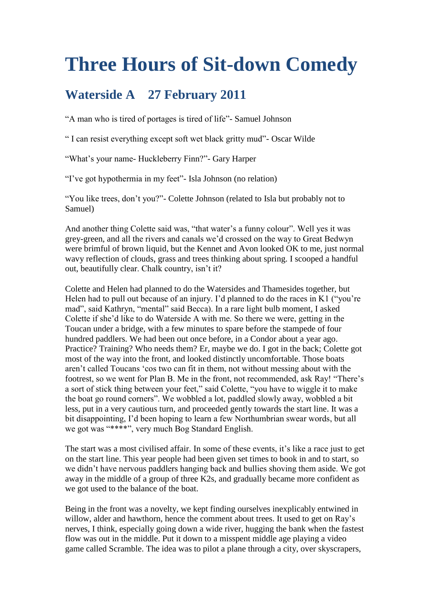## **Three Hours of Sit-down Comedy**

## **Waterside A 27 February 2011**

"A man who is tired of portages is tired of life"- Samuel Johnson

" I can resist everything except soft wet black gritty mud"- Oscar Wilde

"What"s your name- Huckleberry Finn?"- Gary Harper

"I"ve got hypothermia in my feet"- Isla Johnson (no relation)

"You like trees, don"t you?"- Colette Johnson (related to Isla but probably not to Samuel)

And another thing Colette said was, "that water's a funny colour". Well yes it was grey-green, and all the rivers and canals we"d crossed on the way to Great Bedwyn were brimful of brown liquid, but the Kennet and Avon looked OK to me, just normal wavy reflection of clouds, grass and trees thinking about spring. I scooped a handful out, beautifully clear. Chalk country, isn't it?

Colette and Helen had planned to do the Watersides and Thamesides together, but Helen had to pull out because of an injury. I'd planned to do the races in K1 ("you're" mad", said Kathryn, "mental" said Becca). In a rare light bulb moment, I asked Colette if she"d like to do Waterside A with me. So there we were, getting in the Toucan under a bridge, with a few minutes to spare before the stampede of four hundred paddlers. We had been out once before, in a Condor about a year ago. Practice? Training? Who needs them? Er, maybe we do. I got in the back; Colette got most of the way into the front, and looked distinctly uncomfortable. Those boats aren"t called Toucans "cos two can fit in them, not without messing about with the footrest, so we went for Plan B. Me in the front, not recommended, ask Ray! "There"s a sort of stick thing between your feet," said Colette, "you have to wiggle it to make the boat go round corners". We wobbled a lot, paddled slowly away, wobbled a bit less, put in a very cautious turn, and proceeded gently towards the start line. It was a bit disappointing, I"d been hoping to learn a few Northumbrian swear words, but all we got was "\*\*\*\*", very much Bog Standard English.

The start was a most civilised affair. In some of these events, it's like a race just to get on the start line. This year people had been given set times to book in and to start, so we didn"t have nervous paddlers hanging back and bullies shoving them aside. We got away in the middle of a group of three K2s, and gradually became more confident as we got used to the balance of the boat.

Being in the front was a novelty, we kept finding ourselves inexplicably entwined in willow, alder and hawthorn, hence the comment about trees. It used to get on Ray's nerves, I think, especially going down a wide river, hugging the bank when the fastest flow was out in the middle. Put it down to a misspent middle age playing a video game called Scramble. The idea was to pilot a plane through a city, over skyscrapers,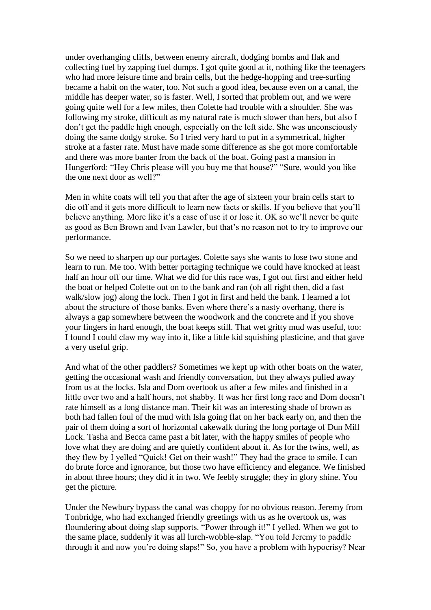under overhanging cliffs, between enemy aircraft, dodging bombs and flak and collecting fuel by zapping fuel dumps. I got quite good at it, nothing like the teenagers who had more leisure time and brain cells, but the hedge-hopping and tree-surfing became a habit on the water, too. Not such a good idea, because even on a canal, the middle has deeper water, so is faster. Well, I sorted that problem out, and we were going quite well for a few miles, then Colette had trouble with a shoulder. She was following my stroke, difficult as my natural rate is much slower than hers, but also I don"t get the paddle high enough, especially on the left side. She was unconsciously doing the same dodgy stroke. So I tried very hard to put in a symmetrical, higher stroke at a faster rate. Must have made some difference as she got more comfortable and there was more banter from the back of the boat. Going past a mansion in Hungerford: "Hey Chris please will you buy me that house?" "Sure, would you like the one next door as well?"

Men in white coats will tell you that after the age of sixteen your brain cells start to die off and it gets more difficult to learn new facts or skills. If you believe that you"ll believe anything. More like it's a case of use it or lose it. OK so we'll never be quite as good as Ben Brown and Ivan Lawler, but that"s no reason not to try to improve our performance.

So we need to sharpen up our portages. Colette says she wants to lose two stone and learn to run. Me too. With better portaging technique we could have knocked at least half an hour off our time. What we did for this race was, I got out first and either held the boat or helped Colette out on to the bank and ran (oh all right then, did a fast walk/slow jog) along the lock. Then I got in first and held the bank. I learned a lot about the structure of those banks. Even where there"s a nasty overhang, there is always a gap somewhere between the woodwork and the concrete and if you shove your fingers in hard enough, the boat keeps still. That wet gritty mud was useful, too: I found I could claw my way into it, like a little kid squishing plasticine, and that gave a very useful grip.

And what of the other paddlers? Sometimes we kept up with other boats on the water, getting the occasional wash and friendly conversation, but they always pulled away from us at the locks. Isla and Dom overtook us after a few miles and finished in a little over two and a half hours, not shabby. It was her first long race and Dom doesn"t rate himself as a long distance man. Their kit was an interesting shade of brown as both had fallen foul of the mud with Isla going flat on her back early on, and then the pair of them doing a sort of horizontal cakewalk during the long portage of Dun Mill Lock. Tasha and Becca came past a bit later, with the happy smiles of people who love what they are doing and are quietly confident about it. As for the twins, well, as they flew by I yelled "Quick! Get on their wash!" They had the grace to smile. I can do brute force and ignorance, but those two have efficiency and elegance. We finished in about three hours; they did it in two. We feebly struggle; they in glory shine. You get the picture.

Under the Newbury bypass the canal was choppy for no obvious reason. Jeremy from Tonbridge, who had exchanged friendly greetings with us as he overtook us, was floundering about doing slap supports. "Power through it!" I yelled. When we got to the same place, suddenly it was all lurch-wobble-slap. "You told Jeremy to paddle through it and now you"re doing slaps!" So, you have a problem with hypocrisy? Near